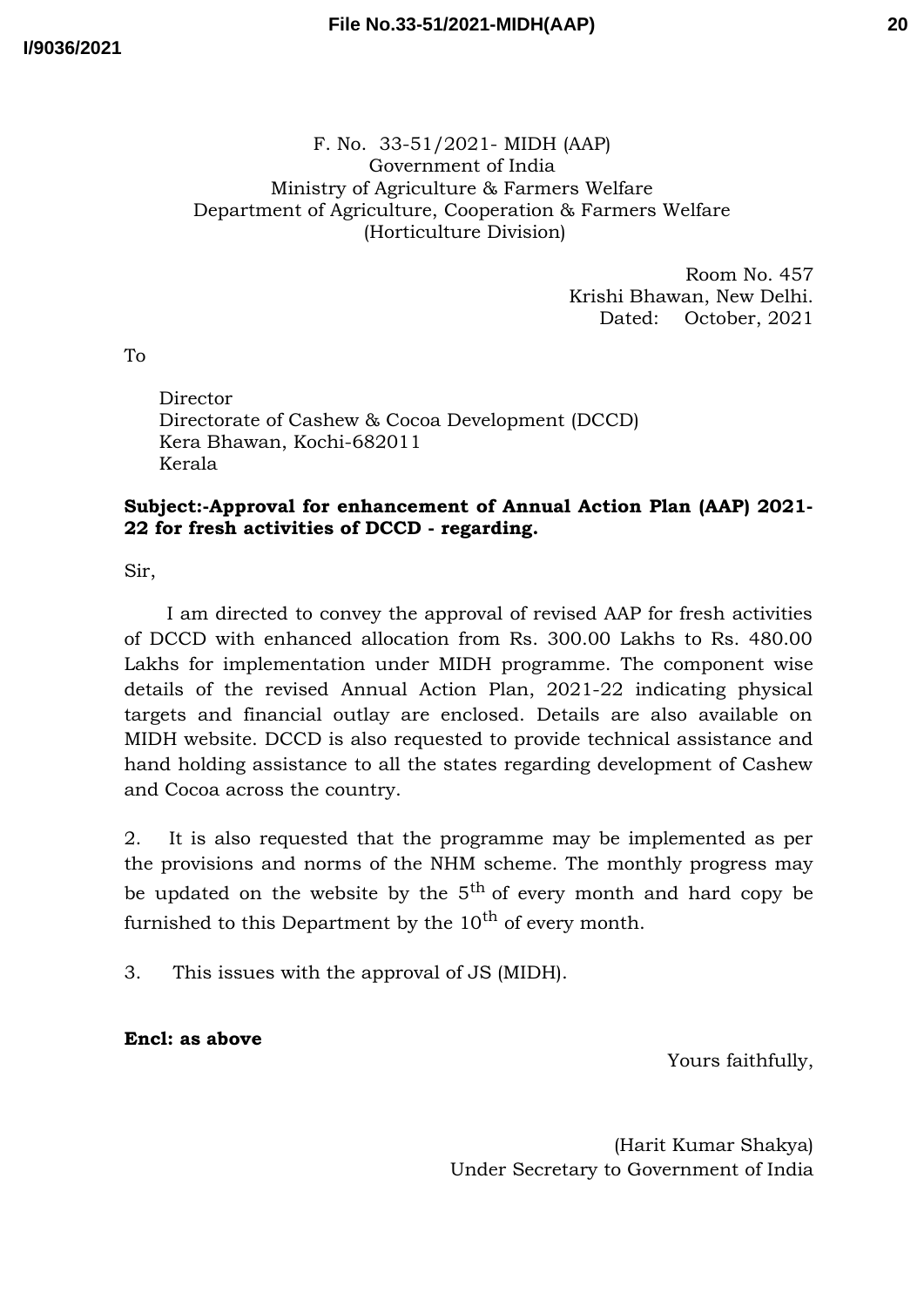F. No. 33-51/2021- MIDH (AAP) Government of India Ministry of Agriculture & Farmers Welfare Department of Agriculture, Cooperation & Farmers Welfare (Horticulture Division)

> Room No. 457 Krishi Bhawan, New Delhi. Dated: October, 2021

To

Director Directorate of Cashew & Cocoa Development (DCCD) Kera Bhawan, Kochi-682011 Kerala

## **Subject:-Approval for enhancement of Annual Action Plan (AAP) 2021- 22 for fresh activities of DCCD - regarding.**

Sir,

I am directed to convey the approval of revised AAP for fresh activities of DCCD with enhanced allocation from Rs. 300.00 Lakhs to Rs. 480.00 Lakhs for implementation under MIDH programme. The component wise details of the revised Annual Action Plan, 2021-22 indicating physical targets and financial outlay are enclosed. Details are also available on MIDH website. DCCD is also requested to provide technical assistance and hand holding assistance to all the states regarding development of Cashew and Cocoa across the country.

2. It is also requested that the programme may be implemented as per the provisions and norms of the NHM scheme. The monthly progress may be updated on the website by the  $5<sup>th</sup>$  of every month and hard copy be furnished to this Department by the  $10<sup>th</sup>$  of every month.

3. This issues with the approval of JS (MIDH).

**Encl: as above**

Yours faithfully,

(Harit Kumar Shakya) Under Secretary to Government of India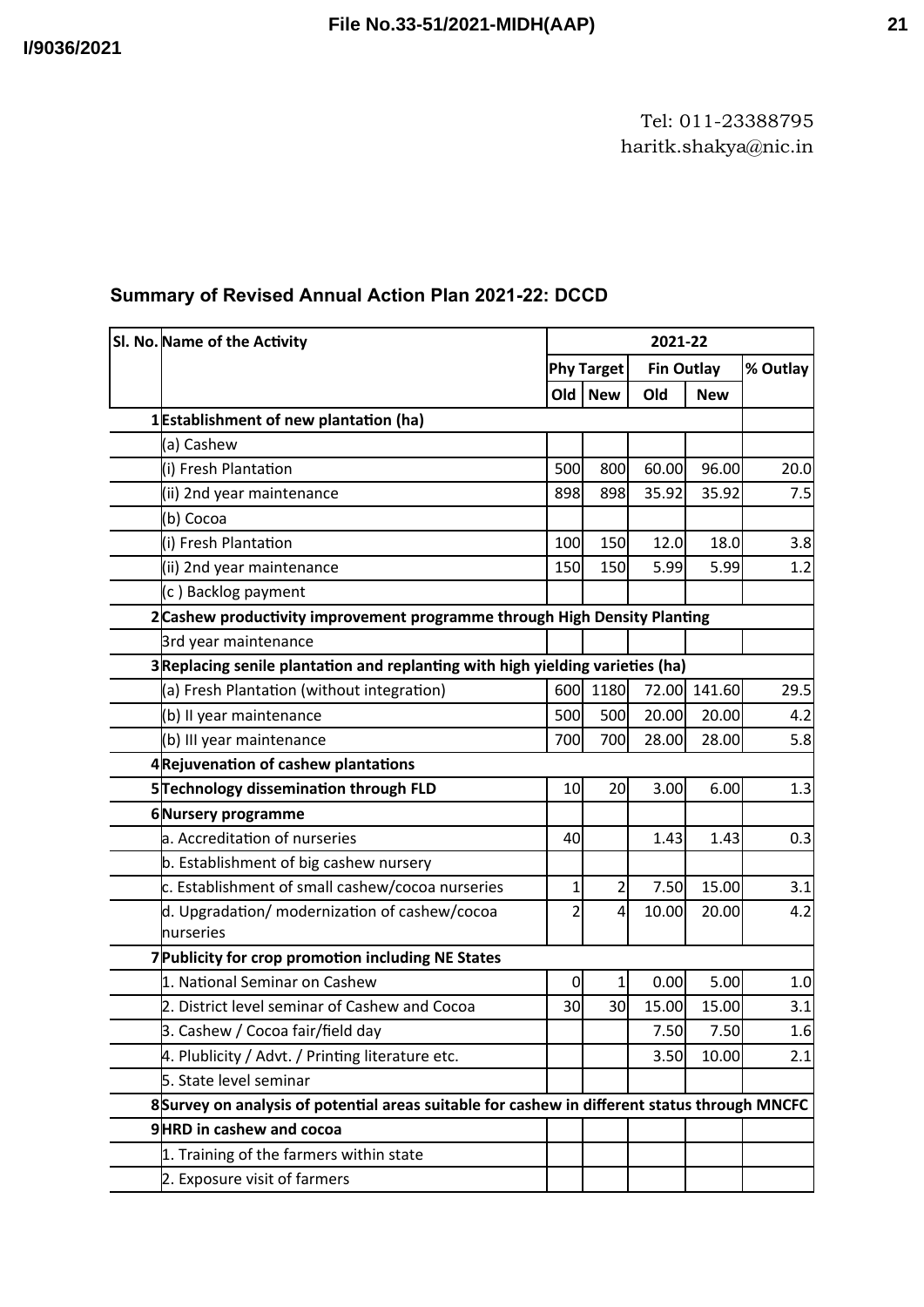Tel: 011-23388795 haritk.shakya@nic.in

## **Summary of Revised Annual Action Plan 2021-22: DCCD**

|                                                                           | SI. No. Name of the Activity                                                                  | 2021-22           |                |                   |              |          |  |
|---------------------------------------------------------------------------|-----------------------------------------------------------------------------------------------|-------------------|----------------|-------------------|--------------|----------|--|
|                                                                           |                                                                                               | <b>Phy Target</b> |                | <b>Fin Outlay</b> |              | % Outlay |  |
|                                                                           |                                                                                               | Old               | <b>New</b>     | Old               | <b>New</b>   |          |  |
|                                                                           | 1Establishment of new plantation (ha)                                                         |                   |                |                   |              |          |  |
|                                                                           | (a) Cashew                                                                                    |                   |                |                   |              |          |  |
|                                                                           | (i) Fresh Plantation                                                                          | 500               | 800            | 60.00             | 96.00        | 20.0     |  |
|                                                                           | (ii) 2nd year maintenance                                                                     | 898               | 898            | 35.92             | 35.92        | 7.5      |  |
|                                                                           | (b) Cocoa                                                                                     |                   |                |                   |              |          |  |
|                                                                           | (i) Fresh Plantation                                                                          | 100               | 150            | 12.0              | 18.0         | 3.8      |  |
|                                                                           | (ii) 2nd year maintenance                                                                     | 150               | 150            | 5.99              | 5.99         | 1.2      |  |
|                                                                           | (c) Backlog payment                                                                           |                   |                |                   |              |          |  |
| 2 Cashew productivity improvement programme through High Density Planting |                                                                                               |                   |                |                   |              |          |  |
|                                                                           | 3rd year maintenance                                                                          |                   |                |                   |              |          |  |
|                                                                           | 3Replacing senile plantation and replanting with high yielding varieties (ha)                 |                   |                |                   |              |          |  |
|                                                                           | (a) Fresh Plantation (without integration)                                                    | 600               | 1180           |                   | 72.00 141.60 | 29.5     |  |
|                                                                           | (b) Il year maintenance                                                                       | 500               | 500            | 20.00             | 20.00        | 4.2      |  |
|                                                                           | (b) III year maintenance                                                                      | 700               | 700            | 28.00             | 28.00        | 5.8      |  |
|                                                                           | 4Rejuvenation of cashew plantations                                                           |                   |                |                   |              |          |  |
|                                                                           | 5 Technology dissemination through FLD                                                        | 10                | 20             | 3.00              | 6.00         | 1.3      |  |
|                                                                           | 6Nursery programme                                                                            |                   |                |                   |              |          |  |
|                                                                           | a. Accreditation of nurseries                                                                 | 40                |                | 1.43              | 1.43         | 0.3      |  |
|                                                                           | b. Establishment of big cashew nursery                                                        |                   |                |                   |              |          |  |
|                                                                           | $c$ . Establishment of small cashew/cocoa nurseries                                           | $\mathbf{1}$      | $\overline{2}$ | 7.50              | 15.00        | 3.1      |  |
|                                                                           | d. Upgradation/ modernization of cashew/cocoa<br>nurseries                                    | $\overline{2}$    | $\overline{4}$ | 10.00             | 20.00        | 4.2      |  |
|                                                                           | 7 Publicity for crop promotion including NE States                                            |                   |                |                   |              |          |  |
|                                                                           | 1. National Seminar on Cashew                                                                 | 0                 | 1              | 0.00              | 5.00         | 1.0      |  |
|                                                                           | 2. District level seminar of Cashew and Cocoa                                                 | 30                | 30             | 15.00             | 15.00        | 3.1      |  |
|                                                                           | 3. Cashew / Cocoa fair/field day                                                              |                   |                | 7.50              | 7.50         | 1.6      |  |
|                                                                           | 4. Plublicity / Advt. / Printing literature etc.                                              |                   |                | 3.50              | 10.00        | 2.1      |  |
|                                                                           | 5. State level seminar                                                                        |                   |                |                   |              |          |  |
|                                                                           | 8 Survey on analysis of potential areas suitable for cashew in different status through MNCFC |                   |                |                   |              |          |  |
|                                                                           | 9HRD in cashew and cocoa                                                                      |                   |                |                   |              |          |  |
|                                                                           | 1. Training of the farmers within state                                                       |                   |                |                   |              |          |  |
|                                                                           | 2. Exposure visit of farmers                                                                  |                   |                |                   |              |          |  |